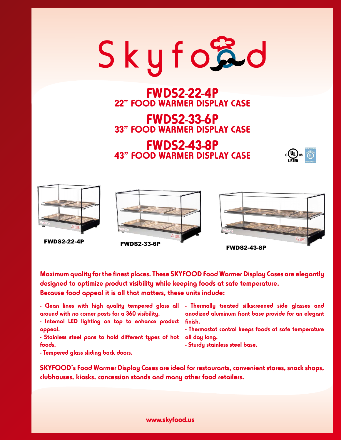

### **FWDS2-22-4P 22" FOOD WARMER DISPLAY CASE**

## **FWDS2-33-6P 33" FOOD WARMER DISPLAY CASE**

#### **FWDS2-43-8P 43" FOOD WARMER DISPLAY CASE**











**Maximum quality for the finest places. These SKYFOOD Food Warmer Display Cases are elegantly designed to optimize product visibility while keeping foods at safe temperature. Because food appeal it is all that matters, these units include:**

**around with no corner posts for a 360 visibility.**

**- Internal LED lighting on top to enhance product finish. appeal.**

**- Stainless steel pans to hold different types of hot all day long. foods.**

**- Tempered glass sliding back doors.**

**- Clean lines with high quality tempered glass all - Thermally treated silkscreened side glasses and anodized aluminum front base provide for an elegant** 

**- Thermostat control keeps foods at safe temperature** 

**- Sturdy stainless steel base.**

**SKYFOOD's Food Warmer Display Cases are ideal for restaurants, convenient stores, snack shops, clubhouses, kiosks, concession stands and many other food retailers.**

#### www.skyfood.us